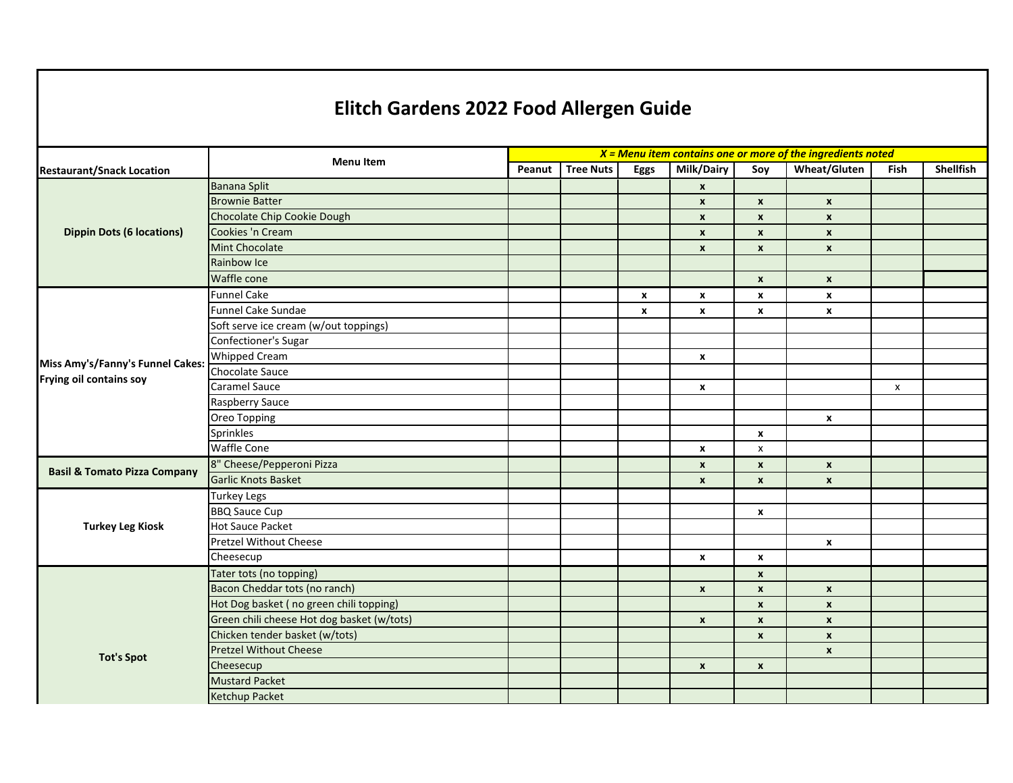## **Elitch Gardens 2022 Food Allergen Guide**

|                                         | <b>Menu Item</b>                           | $X =$ Menu item contains one or more of the ingredients noted |                  |                    |                           |                    |                     |      |                  |  |
|-----------------------------------------|--------------------------------------------|---------------------------------------------------------------|------------------|--------------------|---------------------------|--------------------|---------------------|------|------------------|--|
| <b>Restaurant/Snack Location</b>        |                                            | Peanut                                                        | <b>Tree Nuts</b> | <b>Eggs</b>        | Milk/Dairy                | Soy                | <b>Wheat/Gluten</b> | Fish | <b>Shellfish</b> |  |
| <b>Dippin Dots (6 locations)</b>        | <b>Banana Split</b>                        |                                                               |                  |                    | $\pmb{\chi}$              |                    |                     |      |                  |  |
|                                         | <b>Brownie Batter</b>                      |                                                               |                  |                    | $\boldsymbol{x}$          | $\pmb{\mathsf{x}}$ | $\pmb{\chi}$        |      |                  |  |
|                                         | Chocolate Chip Cookie Dough                |                                                               |                  |                    | $\boldsymbol{x}$          | $\pmb{\times}$     | $\pmb{\chi}$        |      |                  |  |
|                                         | Cookies 'n Cream                           |                                                               |                  |                    | $\pmb{\chi}$              | $\pmb{\mathsf{x}}$ | $\pmb{\chi}$        |      |                  |  |
|                                         | <b>Mint Chocolate</b>                      |                                                               |                  |                    | $\pmb{\chi}$              | $\pmb{\mathsf{x}}$ | $\pmb{\chi}$        |      |                  |  |
|                                         | Rainbow Ice                                |                                                               |                  |                    |                           |                    |                     |      |                  |  |
|                                         | Waffle cone                                |                                                               |                  |                    |                           | $\boldsymbol{x}$   | $\mathbf{x}$        |      |                  |  |
|                                         | <b>Funnel Cake</b>                         |                                                               |                  | $\pmb{\mathsf{x}}$ | $\boldsymbol{\mathsf{x}}$ | x                  | $\pmb{\chi}$        |      |                  |  |
|                                         | Funnel Cake Sundae                         |                                                               |                  | x                  | $\boldsymbol{\mathsf{x}}$ | x                  | $\pmb{\chi}$        |      |                  |  |
|                                         | Soft serve ice cream (w/out toppings)      |                                                               |                  |                    |                           |                    |                     |      |                  |  |
|                                         | Confectioner's Sugar                       |                                                               |                  |                    |                           |                    |                     |      |                  |  |
| Miss Amy's/Fanny's Funnel Cakes:        | <b>Whipped Cream</b>                       |                                                               |                  |                    | $\boldsymbol{\mathsf{x}}$ |                    |                     |      |                  |  |
| Frying oil contains soy                 | Chocolate Sauce                            |                                                               |                  |                    |                           |                    |                     |      |                  |  |
|                                         | Caramel Sauce                              |                                                               |                  |                    | $\boldsymbol{\mathsf{x}}$ |                    |                     | X    |                  |  |
|                                         | Raspberry Sauce                            |                                                               |                  |                    |                           |                    |                     |      |                  |  |
|                                         | Oreo Topping                               |                                                               |                  |                    |                           |                    | $\mathbf x$         |      |                  |  |
|                                         | Sprinkles                                  |                                                               |                  |                    |                           | x                  |                     |      |                  |  |
|                                         | <b>Waffle Cone</b>                         |                                                               |                  |                    | $\pmb{\chi}$              | x                  |                     |      |                  |  |
| <b>Basil &amp; Tomato Pizza Company</b> | 8" Cheese/Pepperoni Pizza                  |                                                               |                  |                    | $\boldsymbol{\mathsf{x}}$ | $\pmb{\mathsf{x}}$ | $\pmb{\chi}$        |      |                  |  |
|                                         | <b>Garlic Knots Basket</b>                 |                                                               |                  |                    | $\pmb{\mathsf{x}}$        | $\pmb{\times}$     | $\pmb{\mathsf{x}}$  |      |                  |  |
| <b>Turkey Leg Kiosk</b>                 | <b>Turkey Legs</b>                         |                                                               |                  |                    |                           |                    |                     |      |                  |  |
|                                         | <b>BBQ Sauce Cup</b>                       |                                                               |                  |                    |                           | x                  |                     |      |                  |  |
|                                         | <b>Hot Sauce Packet</b>                    |                                                               |                  |                    |                           |                    |                     |      |                  |  |
|                                         | <b>Pretzel Without Cheese</b>              |                                                               |                  |                    |                           |                    | $\pmb{\mathsf{x}}$  |      |                  |  |
|                                         | Cheesecup                                  |                                                               |                  |                    | $\pmb{\chi}$              | x                  |                     |      |                  |  |
| <b>Tot's Spot</b>                       | Tater tots (no topping)                    |                                                               |                  |                    |                           | $\pmb{\mathsf{x}}$ |                     |      |                  |  |
|                                         | Bacon Cheddar tots (no ranch)              |                                                               |                  |                    | $\boldsymbol{x}$          | $\pmb{\mathsf{x}}$ | $\pmb{\chi}$        |      |                  |  |
|                                         | Hot Dog basket (no green chili topping)    |                                                               |                  |                    |                           | $\pmb{\times}$     | $\pmb{\chi}$        |      |                  |  |
|                                         | Green chili cheese Hot dog basket (w/tots) |                                                               |                  |                    | $\boldsymbol{\mathsf{x}}$ | $\pmb{\mathsf{x}}$ | $\pmb{\chi}$        |      |                  |  |
|                                         | Chicken tender basket (w/tots)             |                                                               |                  |                    |                           | $\mathbf{x}$       | $\boldsymbol{x}$    |      |                  |  |
|                                         | <b>Pretzel Without Cheese</b>              |                                                               |                  |                    |                           |                    | $\pmb{\chi}$        |      |                  |  |
|                                         | Cheesecup                                  |                                                               |                  |                    | $\boldsymbol{x}$          | $\pmb{\mathsf{x}}$ |                     |      |                  |  |
|                                         | <b>Mustard Packet</b>                      |                                                               |                  |                    |                           |                    |                     |      |                  |  |
|                                         | Ketchup Packet                             |                                                               |                  |                    |                           |                    |                     |      |                  |  |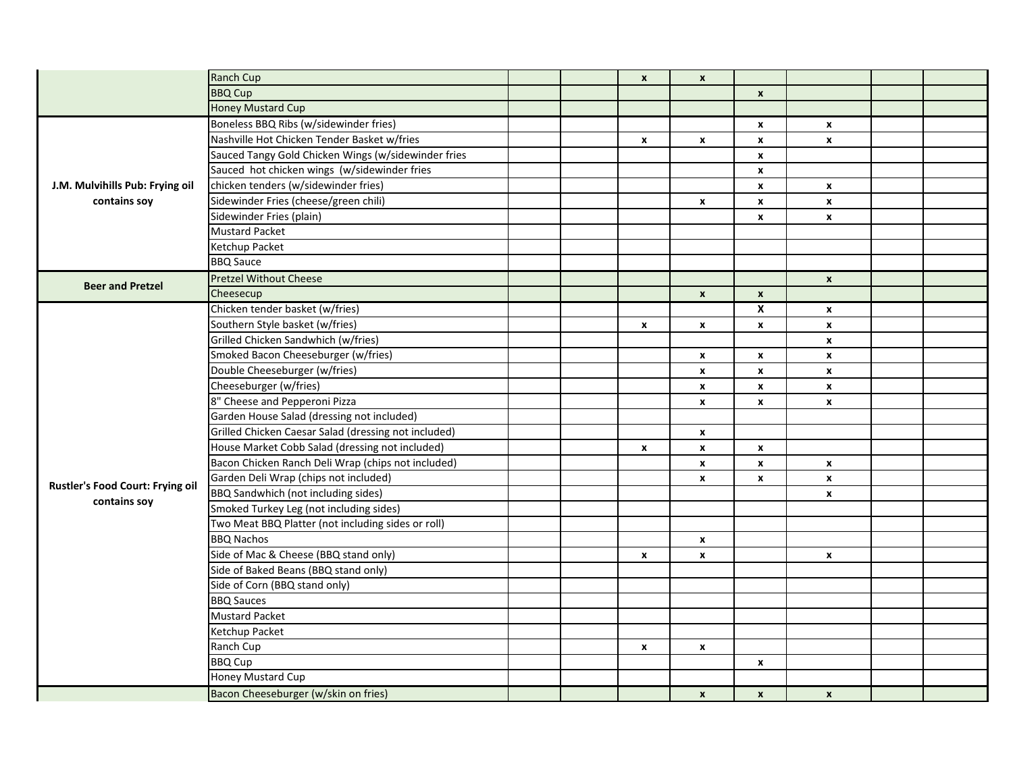|                                                 | Ranch Cup                                            |  | $\pmb{\mathsf{x}}$ | $\pmb{\mathsf{x}}$ |                    |                    |  |
|-------------------------------------------------|------------------------------------------------------|--|--------------------|--------------------|--------------------|--------------------|--|
|                                                 | <b>BBQ Cup</b>                                       |  |                    |                    | $\pmb{\mathsf{x}}$ |                    |  |
|                                                 | <b>Honey Mustard Cup</b>                             |  |                    |                    |                    |                    |  |
|                                                 | Boneless BBQ Ribs (w/sidewinder fries)               |  |                    |                    | $\pmb{\mathsf{x}}$ | x                  |  |
|                                                 | Nashville Hot Chicken Tender Basket w/fries          |  | $\mathbf{x}$       | $\pmb{\mathsf{x}}$ | $\pmb{\chi}$       | $\pmb{\mathsf{x}}$ |  |
|                                                 | Sauced Tangy Gold Chicken Wings (w/sidewinder fries  |  |                    |                    | $\pmb{\chi}$       |                    |  |
| J.M. Mulvihills Pub: Frying oil<br>contains soy | Sauced hot chicken wings (w/sidewinder fries         |  |                    |                    | $\pmb{\mathsf{x}}$ |                    |  |
|                                                 | chicken tenders (w/sidewinder fries)                 |  |                    |                    | $\mathbf{x}$       | $\mathbf{x}$       |  |
|                                                 | Sidewinder Fries (cheese/green chili)                |  |                    | $\mathbf{x}$       | $\mathbf{x}$       | $\pmb{\mathsf{x}}$ |  |
|                                                 | Sidewinder Fries (plain)                             |  |                    |                    | x                  | $\mathbf{x}$       |  |
|                                                 | <b>Mustard Packet</b>                                |  |                    |                    |                    |                    |  |
|                                                 | Ketchup Packet                                       |  |                    |                    |                    |                    |  |
|                                                 | <b>BBQ Sauce</b>                                     |  |                    |                    |                    |                    |  |
| <b>Beer and Pretzel</b>                         | <b>Pretzel Without Cheese</b>                        |  |                    |                    |                    | $\pmb{\chi}$       |  |
|                                                 | Cheesecup                                            |  |                    | $\mathbf{x}$       | $\pmb{\chi}$       |                    |  |
|                                                 | Chicken tender basket (w/fries)                      |  |                    |                    | $\mathsf{x}$       | $\mathbf{x}$       |  |
|                                                 | Southern Style basket (w/fries)                      |  | $\pmb{\mathsf{x}}$ | $\mathbf{x}$       | $\boldsymbol{x}$   | $\pmb{\mathsf{x}}$ |  |
|                                                 | Grilled Chicken Sandwhich (w/fries)                  |  |                    |                    |                    | $\pmb{\mathsf{x}}$ |  |
|                                                 | Smoked Bacon Cheeseburger (w/fries)                  |  |                    | x                  | $\mathbf{x}$       | x                  |  |
|                                                 | Double Cheeseburger (w/fries)                        |  |                    | $\pmb{\mathsf{x}}$ | $\pmb{\chi}$       | $\pmb{\mathsf{x}}$ |  |
|                                                 | Cheeseburger (w/fries)                               |  |                    | X                  | $\mathbf{x}$       | X                  |  |
|                                                 | 8" Cheese and Pepperoni Pizza                        |  |                    | X                  | $\mathbf{x}$       | $\mathbf{x}$       |  |
|                                                 | Garden House Salad (dressing not included)           |  |                    |                    |                    |                    |  |
|                                                 | Grilled Chicken Caesar Salad (dressing not included) |  |                    | x                  |                    |                    |  |
|                                                 | House Market Cobb Salad (dressing not included)      |  | $\mathbf{x}$       | $\mathbf{x}$       | $\mathbf{x}$       |                    |  |
|                                                 | Bacon Chicken Ranch Deli Wrap (chips not included)   |  |                    | $\mathbf{x}$       | $\mathbf{x}$       | $\mathbf{x}$       |  |
| Rustler's Food Court: Frying oil                | Garden Deli Wrap (chips not included)                |  |                    | X                  | $\mathbf{x}$       | $\mathbf{x}$       |  |
| contains soy                                    | BBQ Sandwhich (not including sides)                  |  |                    |                    |                    | x                  |  |
|                                                 | Smoked Turkey Leg (not including sides)              |  |                    |                    |                    |                    |  |
|                                                 | Two Meat BBQ Platter (not including sides or roll)   |  |                    |                    |                    |                    |  |
|                                                 | <b>BBQ Nachos</b>                                    |  |                    | x                  |                    |                    |  |
|                                                 | Side of Mac & Cheese (BBQ stand only)                |  | $\mathbf{x}$       | X                  |                    | $\mathbf x$        |  |
|                                                 | Side of Baked Beans (BBQ stand only)                 |  |                    |                    |                    |                    |  |
|                                                 | Side of Corn (BBQ stand only)                        |  |                    |                    |                    |                    |  |
|                                                 | <b>BBQ Sauces</b>                                    |  |                    |                    |                    |                    |  |
|                                                 | <b>Mustard Packet</b>                                |  |                    |                    |                    |                    |  |
|                                                 | Ketchup Packet                                       |  |                    |                    |                    |                    |  |
|                                                 | Ranch Cup                                            |  | x                  | x                  |                    |                    |  |
|                                                 | <b>BBQ Cup</b>                                       |  |                    |                    | x                  |                    |  |
|                                                 | Honey Mustard Cup                                    |  |                    |                    |                    |                    |  |
|                                                 | Bacon Cheeseburger (w/skin on fries)                 |  |                    | $\boldsymbol{x}$   | $\boldsymbol{x}$   | $\mathbf{x}$       |  |